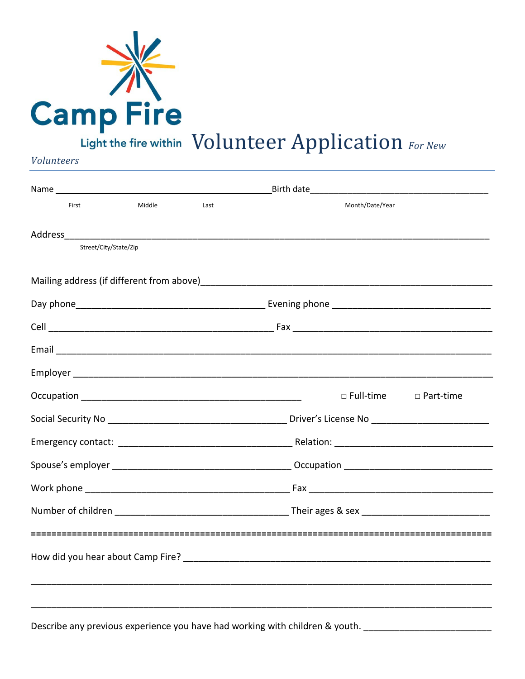

**Volunteers** 

| First                                                                                                                                                                                                                          | Middle                | Last | Month/Date/Year  |             |  |  |
|--------------------------------------------------------------------------------------------------------------------------------------------------------------------------------------------------------------------------------|-----------------------|------|------------------|-------------|--|--|
| Address and the contract of the contract of the contract of the contract of the contract of the contract of the contract of the contract of the contract of the contract of the contract of the contract of the contract of th |                       |      |                  |             |  |  |
|                                                                                                                                                                                                                                | Street/City/State/Zip |      |                  |             |  |  |
|                                                                                                                                                                                                                                |                       |      |                  |             |  |  |
|                                                                                                                                                                                                                                |                       |      |                  |             |  |  |
|                                                                                                                                                                                                                                |                       |      |                  |             |  |  |
|                                                                                                                                                                                                                                |                       |      |                  |             |  |  |
|                                                                                                                                                                                                                                |                       |      |                  |             |  |  |
|                                                                                                                                                                                                                                |                       |      | $\Box$ Full-time | □ Part-time |  |  |
|                                                                                                                                                                                                                                |                       |      |                  |             |  |  |
|                                                                                                                                                                                                                                |                       |      |                  |             |  |  |
|                                                                                                                                                                                                                                |                       |      |                  |             |  |  |
|                                                                                                                                                                                                                                |                       |      |                  |             |  |  |
|                                                                                                                                                                                                                                |                       |      |                  |             |  |  |
|                                                                                                                                                                                                                                |                       |      |                  |             |  |  |
|                                                                                                                                                                                                                                |                       |      |                  |             |  |  |
|                                                                                                                                                                                                                                |                       |      |                  |             |  |  |
|                                                                                                                                                                                                                                |                       |      |                  |             |  |  |

Describe any previous experience you have had working with children & youth.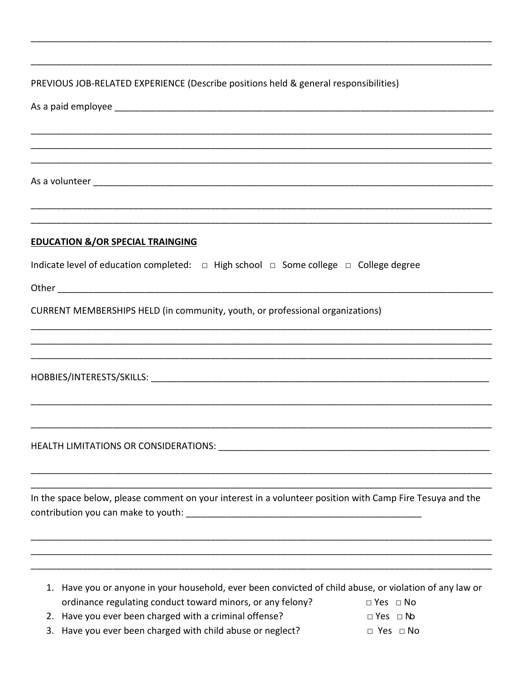| PREVIOUS JOB-RELATED EXPERIENCE (Describe positions held & general responsibilities)                      |                      |  |  |  |  |  |
|-----------------------------------------------------------------------------------------------------------|----------------------|--|--|--|--|--|
|                                                                                                           |                      |  |  |  |  |  |
|                                                                                                           |                      |  |  |  |  |  |
|                                                                                                           |                      |  |  |  |  |  |
|                                                                                                           |                      |  |  |  |  |  |
|                                                                                                           |                      |  |  |  |  |  |
|                                                                                                           |                      |  |  |  |  |  |
| ,我们就是一个人的人,我们就是一个人的人,我们就是一个人的人,我们就是一个人的人,我们就是一个人的人,我们就是一个人的人,我们就是一个人的人,我们就是一个人的人                          |                      |  |  |  |  |  |
| <b>EDUCATION &amp;/OR SPECIAL TRAINGING</b>                                                               |                      |  |  |  |  |  |
| Indicate level of education completed:  □ High school □ Some college □ College degree                     |                      |  |  |  |  |  |
|                                                                                                           |                      |  |  |  |  |  |
|                                                                                                           |                      |  |  |  |  |  |
| CURRENT MEMBERSHIPS HELD (in community, youth, or professional organizations)                             |                      |  |  |  |  |  |
|                                                                                                           |                      |  |  |  |  |  |
|                                                                                                           |                      |  |  |  |  |  |
|                                                                                                           |                      |  |  |  |  |  |
|                                                                                                           |                      |  |  |  |  |  |
|                                                                                                           |                      |  |  |  |  |  |
|                                                                                                           |                      |  |  |  |  |  |
|                                                                                                           |                      |  |  |  |  |  |
|                                                                                                           |                      |  |  |  |  |  |
|                                                                                                           |                      |  |  |  |  |  |
| In the space below, please comment on your interest in a volunteer position with Camp Fire Tesuya and the |                      |  |  |  |  |  |
|                                                                                                           |                      |  |  |  |  |  |
|                                                                                                           |                      |  |  |  |  |  |
|                                                                                                           |                      |  |  |  |  |  |
| 1. Have you or anyone in your household, ever been convicted of child abuse, or violation of any law or   |                      |  |  |  |  |  |
| ordinance regulating conduct toward minors, or any felony?                                                | $\Box$ Yes $\Box$ No |  |  |  |  |  |
| 2. Have you ever been charged with a criminal offense?                                                    | $\Box$ Yes $\Box$ No |  |  |  |  |  |
| Have you ever been charged with child abuse or neglect?<br>3.                                             | $\Box$ Yes $\Box$ No |  |  |  |  |  |